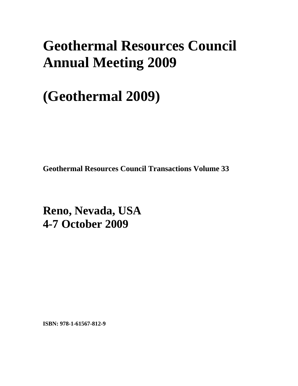# **Geothermal Resources Council Annual Meeting 2009**

# **(Geothermal 2009)**

**Geothermal Resources Council Transactions Volume 33** 

**Reno, Nevada, USA 4-7 October 2009** 

**ISBN: 978-1-61567-812-9**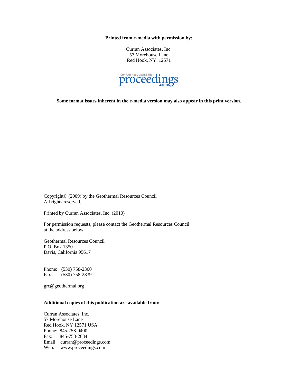**Printed from e-media with permission by:** 

Curran Associates, Inc. 57 Morehouse Lane Red Hook, NY 12571



**Some format issues inherent in the e-media version may also appear in this print version.** 

Copyright© (2009) by the Geothermal Resources Council All rights reserved.

Printed by Curran Associates, Inc. (2010)

For permission requests, please contact the Geothermal Resources Council at the address below.

Geothermal Resources Council P.O. Box 1350 Davis, California 95617

Phone: (530) 758-2360 Fax: (530) 758-2839

grc@geothermal.org

#### **Additional copies of this publication are available from:**

Curran Associates, Inc. 57 Morehouse Lane Red Hook, NY 12571 USA Phone: 845-758-0400 Fax: 845-758-2634 Email: curran@proceedings.com Web: www.proceedings.com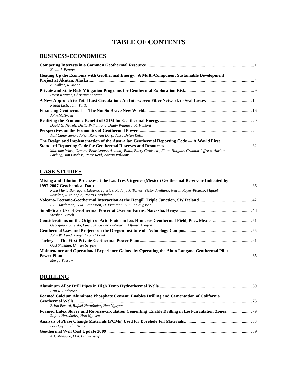## **TABLE OF CONTENTS**

### **BUSINESS/ECONOMICS**

| Kevin J. Beaton                                                                                                                                             |  |
|-------------------------------------------------------------------------------------------------------------------------------------------------------------|--|
| Heating Up the Economy with Geothermal Energy: A Multi-Component Sustainable Development                                                                    |  |
|                                                                                                                                                             |  |
| A. Kolker, R. Mann                                                                                                                                          |  |
| Horst Kreuter, Christina Schrage                                                                                                                            |  |
| Renan Listi, John Tuttle                                                                                                                                    |  |
| John McIlveen                                                                                                                                               |  |
| David G. Newell, Dwita Prihantono, Dauly Winnusa, K. Kastoni                                                                                                |  |
| Adil Caner Sener, Johan Rene van Dorp, Jesse Dylan Keith                                                                                                    |  |
| The Design and Implementation of the Australian Geothermal Reporting Code — A World First                                                                   |  |
|                                                                                                                                                             |  |
| Malcolm Ward, Graeme Beardsmore, Anthony Budd, Barry Goldstein, Fiona Holgate, Graham Jeffress, Adrian<br>Larking, Jim Lawless, Peter Reid, Adrian Williams |  |

#### **CASE STUDIES**

| Mixing and Dilution Processes at the Las Tres Vírgenes (México) Geothermal Reservoir Indicated by        |  |
|----------------------------------------------------------------------------------------------------------|--|
|                                                                                                          |  |
| Rosa María Barragán, Eduardo Iglesias, Rodolfo J. Torres, Víctor Arellano, Neftalí Reyes-Picasso, Miguel |  |
| Ramírez, Ruth Tapia, Pedro Hernández                                                                     |  |
|                                                                                                          |  |
| B.S. Hardarson, G.M. Einarsson, H. Franzson, E. Gunnlaugsson                                             |  |
|                                                                                                          |  |
| Stephen Hirsch                                                                                           |  |
|                                                                                                          |  |
| Georgina Izquierdo, Luis C.A. Gutiérrez-Negrín, Alfonso Aragón                                           |  |
|                                                                                                          |  |
| John W. Lund, Tonya "Toni" Boyd                                                                          |  |
|                                                                                                          |  |
| Gad Shoshan, Umran Serpen                                                                                |  |
| Maintenance and Operational Experience Gained by Operating the Aluto Langano Geothermal Pilot            |  |
| Power Plant                                                                                              |  |
| Merga Tassew                                                                                             |  |

### **DRILLING**

| Erin R. Anderson                                                                         |  |
|------------------------------------------------------------------------------------------|--|
| Foamed Calcium Aluminate Phosphate Cement Enables Drilling and Cementation of California |  |
|                                                                                          |  |
| Brian Berard, Rafael Hernández, Hao Nguyen                                               |  |
|                                                                                          |  |
| Rafael Hernández, Hao Nguyen                                                             |  |
|                                                                                          |  |
| Lei Haiyan, Zhu Neng                                                                     |  |
|                                                                                          |  |
| A.J. Mansure, D.A. Blankenship                                                           |  |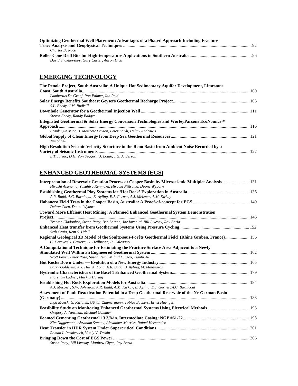| <b>Optimizing Geothermal Well Placement: Advantages of a Phased Approach Including Fracture</b> |  |
|-------------------------------------------------------------------------------------------------|--|
|                                                                                                 |  |
| Charles D. Race                                                                                 |  |
|                                                                                                 |  |
| David Shakhovskoy, Gary Carter, Aaron Dick                                                      |  |

## **EMERGING TECHNOLOGY**

| The Penola Project, South Australia: A Unique Hot Sedimentary Aquifer Development, Limestone  |  |
|-----------------------------------------------------------------------------------------------|--|
|                                                                                               |  |
| Lambertus De Graaf, Ron Palmer, Ian Reid                                                      |  |
| S.L. Enedy, J.M. Rudisill                                                                     |  |
|                                                                                               |  |
| Steven Enedy, Randy Badger                                                                    |  |
| Integrated Geothermal & Solar Energy Conversion Technologies and WorleyParsons EcoNomics™     |  |
|                                                                                               |  |
| Frank Oun Miao, J. Matthew Dayton, Peter Lardi, Helmy Andrawis                                |  |
| Jim Shnell                                                                                    |  |
| High Resolution Seismic Velocity Structure in the Reno Basin from Ambient Noise Recorded by a |  |
| I. Tibuleac, D.H. Von Seggern, J. Louie, J.G. Anderson                                        |  |

## **ENHANCED GEOTHERMAL SYSTEMS (EGS)**

| Interpretation of Reservoir Creation Process at Cooper Basin by Microseismic Multiplet Analysis 131<br>Hiroshi Asanuma, Yasuhiro Kenmoku, Hiroaki Niitsuma, Doone Wyborn |  |
|--------------------------------------------------------------------------------------------------------------------------------------------------------------------------|--|
|                                                                                                                                                                          |  |
| A.R. Budd, A.C. Barnicoat, B. Ayling, E.J. Gerner, A.J. Meixner, A.M. Kirkby                                                                                             |  |
| Delton Chen, Doone Wyborn                                                                                                                                                |  |
| Toward More Effcient Heat Mining: A Planned Enhanced Geothermal System Demonstration                                                                                     |  |
|                                                                                                                                                                          |  |
| Trenton Cladouhos, Susan Petty, Ben Larson, Joe Iovenitti, Bill Livesay, Roy Baria                                                                                       |  |
|                                                                                                                                                                          |  |
| Seth Craig, Kent S. Udell                                                                                                                                                |  |
| Regional Geological 3D Model of the Soultz-sous-Forêts Geothermal Field (Rhine Graben, France) 156<br>C. Dezayes, J. Castera, G. Heilbronn, P. Calcagno                  |  |
| A Computational Technique for Estimating the Fracture Surface Area Adjacent to a Newly                                                                                   |  |
|                                                                                                                                                                          |  |
| Scott Fayer, Peter Rose, Susan Petty, Milind D. Deo, Tianfu Xu                                                                                                           |  |
|                                                                                                                                                                          |  |
| Barry Goldstein, A.J. Hill, A. Long, A.R. Budd, B. Ayling, M. Malavazos                                                                                                  |  |
|                                                                                                                                                                          |  |
| Florentin Ladner, Markus Häring                                                                                                                                          |  |
|                                                                                                                                                                          |  |
| A.J. Meixner, S.W. Johnston, A.R. Budd, A.M. Kirkby, B. Ayling, E.J. Gerner, A.C. Barnicoat                                                                              |  |
| Assessment of Fault Reactivation Potential in a Deep Geothermal Reservoir of the Ne-German Basin                                                                         |  |
| Inga Moeck, G. Kwiatek, Günter Zimmermann, Tobias Backers, Ernst Huenges                                                                                                 |  |
| Feasibility Study on Monitoring Enhanced Geothermal Systems Using Electrical Methods 193                                                                                 |  |
| Gregory A. Newman, Michael Commer                                                                                                                                        |  |
|                                                                                                                                                                          |  |
| Kim Niggemann, Abraham Samuel, Alexander Morriss, Rafael Hernández                                                                                                       |  |
|                                                                                                                                                                          |  |
| Roman I. Pashkevich, Vitaly V. Taskin                                                                                                                                    |  |
|                                                                                                                                                                          |  |
| Susan Petty, Bill Livesay, Matthew Clyne, Roy Baria                                                                                                                      |  |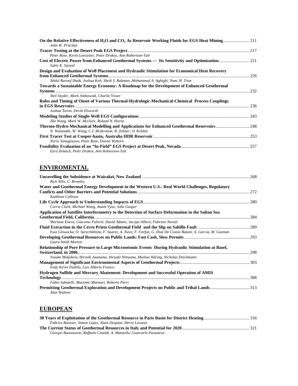| John W. Pritchett                                                                                                                                         |  |
|-----------------------------------------------------------------------------------------------------------------------------------------------------------|--|
|                                                                                                                                                           |  |
| Peter Rose, Kevin Leecaster, Peter Drakos, Ann Robertson-Tait                                                                                             |  |
| Subir K. Sanyal                                                                                                                                           |  |
| Design and Evaluation of Well Placement and Hydraulic Stimulation for Economical Heat Recovery                                                            |  |
| Abdul Ravoof Shaik, Joshua Koh, Sheik S. Rahman, Mohammad A. Aghighi, Nam. H. Tran                                                                        |  |
| Towards a Sustainable Energy Economy: A Roadmap for the Development of Enhanced Geothermal                                                                |  |
|                                                                                                                                                           |  |
| Neil Snyder, Mark Antkowiak, Charlie Visser                                                                                                               |  |
| Roles and Timing of Onset of Various Thermal-Hydrologic-Mechanical-Chemical Process Couplings                                                             |  |
|                                                                                                                                                           |  |
| Joshua Taron, Derek Elsworth                                                                                                                              |  |
|                                                                                                                                                           |  |
| Zhe Wang, Mark W. Mcclure, Roland N. Horne                                                                                                                |  |
| Thermo-Hydro-Mechanical Modelling and Applications for Enhanced Geothermal Reservoirs  248<br>N. Watanabe, W. Wang, C.I. Mcdermott, B. Zehner, O. Kolditz |  |
|                                                                                                                                                           |  |
| Norio Yanagisawa, Peter Rose, Doone Wyborn                                                                                                                |  |
|                                                                                                                                                           |  |
| Ezra Zemach, Peter Drakos, Ann Robertson-Tait                                                                                                             |  |

## **ENVIROMENTAL**

| Rick Allis, C. Bromley                                                                                       |  |
|--------------------------------------------------------------------------------------------------------------|--|
| Water and Geothermal Energy Development in the Western U.S.: Real World Challenges, Regulatory               |  |
|                                                                                                              |  |
| Kathleen Callison                                                                                            |  |
|                                                                                                              |  |
| Corrie Clark, Michael Wang, Anant Vyas, John Gasper                                                          |  |
| Application of Satellite Interferometry to the Detection of Surface Deformation in the Salton Sea            |  |
|                                                                                                              |  |
| Mariana Eneva, Giacomo Falorni, David Adams, Jacopo Allievi, Fabrizio Novali                                 |  |
|                                                                                                              |  |
| Ewa Glowacka, O. Sarychikhina, F. Suarez, A. Nava, F. Farfan, G. Diaz De Cossio Batani, A. Garcia, M. Guzman |  |
|                                                                                                              |  |
| Laura Smith Morton                                                                                           |  |
| Relationship of Pore Pressure to Large Microseismic Events During Hydraulic Stimulation at Basel,            |  |
|                                                                                                              |  |
| Yusuke Mukuhira, Hiroshi Asanuma, Hiroaki Niitsuma, Markus Häring, Nicholas Deichmann                        |  |
|                                                                                                              |  |
| Endy Kevin Padilla, Luis Alberto Franco                                                                      |  |
| Hydrogen Sulfide and Mercury Abatement: Development and Successful Operation of AMIS                         |  |
|                                                                                                              |  |
| Fabio Sabatelli, Massimo Mannari, Roberto Parri                                                              |  |
| Permitting Geothermal Exploration and Development Projects on Public and Tribal Lands313                     |  |
| Alan Waltner                                                                                                 |  |

## **EUROPEAN**

| Fabrice Boissier, Simon Lopez, Alain Desplan, Hervé Lesueur            |  |
|------------------------------------------------------------------------|--|
|                                                                        |  |
| Giorgio Buonasorte, Raffaele Cataldi, A. Manzella, Giancarlo Passaleva |  |
|                                                                        |  |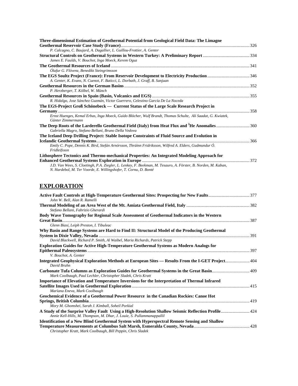| Three-dimensional Estimation of Geothermal Potential from Geological Field Data: The Limagne                                                                                       |  |
|------------------------------------------------------------------------------------------------------------------------------------------------------------------------------------|--|
| P. Calcagno, C. Baujard, A. Dagallier, L. Guillou-Frottier, A. Genter                                                                                                              |  |
|                                                                                                                                                                                    |  |
| James E. Faulds, V. Bouchot, Inga Moeck, Kerem Oguz                                                                                                                                |  |
|                                                                                                                                                                                    |  |
| Ólafur G. Flóvenz, Benedikt Steingrimsson                                                                                                                                          |  |
| A. Genter, K. Evans, N. Cuenot, F. Baticci, L. Dorbath, J. Graff, B. Sanjuan                                                                                                       |  |
| P. Herzberger, T. Kölbel, W. Münch                                                                                                                                                 |  |
|                                                                                                                                                                                    |  |
| R. Hidalgo, Jose Sánchez Guzmán, Victor Guerrero, Celestino García De La Noceda                                                                                                    |  |
| The EGS-Project Groß Schönebeck — Current Status of the Large Scale Research Project in                                                                                            |  |
|                                                                                                                                                                                    |  |
| Ernst Huenges, Kemal Erbas, Inga Moeck, Guido Blöcher, Wulf Brandt, Thomas Schulte, Ali Saadat, G. Kwiatek,<br>Günter Zimmermann                                                   |  |
| The Deep Roots of the Larderello Geothermal Field (Italy) from Heat Flux and <sup>3</sup> He Anomalies360<br>Gabriella Magro, Stefano Bellani, Bruno Della Vedova                  |  |
| The Iceland Deep Drilling Project: Stable Isotope Constraints of Fluid Source and Evolution in                                                                                     |  |
|                                                                                                                                                                                    |  |
| Emily C. Pope, Dennis K. Bird, Stefán Arnórsson, Thráinn Fridriksson, Wilfred A. Elders, Gudmundur Ó.<br>Fridleifsson                                                              |  |
| Lithosphere Tectonics and Thermo-mechanical Properties: An Integrated Modeling Approach for                                                                                        |  |
|                                                                                                                                                                                    |  |
| J.D. Van Wees, S. Cloetingh, P.A. Ziegler, L. Lenkey, F. Beekman, M. Tesauro, A. Förster, B. Norden, M. Kaban,<br>N. Hardebol, M. Ter Voorde, E. Willingshofer, T. Cornu, D. Bonté |  |
|                                                                                                                                                                                    |  |

## **EXPLORATION**

| John W. Bell, Alan R. Ramelli                                                                                                                                                 |  |
|-------------------------------------------------------------------------------------------------------------------------------------------------------------------------------|--|
| Stefano Bellani, Fabrizio Gherardi                                                                                                                                            |  |
| Body Wave Tomography for Regional Scale Assessment of Geothermal Indicators in the Western                                                                                    |  |
|                                                                                                                                                                               |  |
| Glenn Biasi, Leiph Preston, I. Tibuleac                                                                                                                                       |  |
| Why Basin and Range Systems are Hard to Find II: Structural Model of the Producing Geothermal                                                                                 |  |
| David Blackwell, Richard P. Smith, Al Waibel, Maria Richards, Patrick Stepp                                                                                                   |  |
| <b>Exploration Guides for Active High-Temperature Geothermal Systems as Modern Analogs for</b>                                                                                |  |
|                                                                                                                                                                               |  |
| V. Bouchot, A. Genter                                                                                                                                                         |  |
| Integrated Geophysical Exploration Methods at European Sites - Results From the I-GET Project 404<br>David Bruhn                                                              |  |
| Carbonate Tufa Columns as Exploration Guides for Geothermal Systems in the Great Basin 409<br>Mark Coolbaugh, Paul Lechler, Christopher Sladek, Chris Kratt                   |  |
| <b>Importance of Elevation and Temperature Inversions for the Interpretation of Thermal Infrared</b>                                                                          |  |
| Mariana Eneva, Mark Coolbaugh                                                                                                                                                 |  |
| Geochemical Evidence of a Geothermal Power Resource in the Canadian Rockies: Canoe Hot                                                                                        |  |
|                                                                                                                                                                               |  |
| Mory M. Ghomshei, Sarah J. Kimball, Soheil Porkial                                                                                                                            |  |
| A Study of the Surprise Valley Fault Using a High-Resolution Shallow Seismic Reflection Profile 424<br>Annie Kell-Hills, M. Thompson, M. Dhar, J. Louie, S. Pullammanappallil |  |
| <b>Identification of a New Blind Geothermal System with Hyperspectral Remote Sensing and Shallow</b>                                                                          |  |
|                                                                                                                                                                               |  |
| Christopher Kratt, Mark Coolbaugh, Bill Peppin, Chris Sladek                                                                                                                  |  |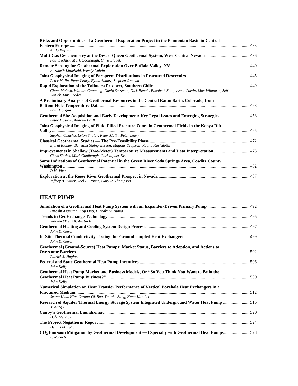| Risks and Opportunities of a Geothermal Exploration Project in the Pannonian Basin in Central-                                    |  |
|-----------------------------------------------------------------------------------------------------------------------------------|--|
|                                                                                                                                   |  |
| Attila Kujbus                                                                                                                     |  |
| Paul Lechler, Mark Coolbaugh, Chris Sladek                                                                                        |  |
| Elizabeth Littlefield, Wendy Calvin                                                                                               |  |
| Peter Malin, Peter Leary, Eylon Shalev, Stephen Onacha                                                                            |  |
|                                                                                                                                   |  |
| Glenn Melosh, William Cumming, David Sussman, Dick Benoit, Elizabeth Soto, Anna Colvin, Max Wilmarth, Jeff<br>Winick, Luis Fredes |  |
| A Preliminary Analysis of Geothermal Resources in the Central Raton Basin, Colorado, from                                         |  |
|                                                                                                                                   |  |
| Paul Morgan                                                                                                                       |  |
| Geothermal Site Acquisition and Early Development: Key Legal Issues and Emerging Strategies 458<br>Peter Mostow, Andrew Braff     |  |
| Joint Geophysical Imaging of Fluid-Filled Fracture Zones in Geothermal Fields in the Kenya Rift                                   |  |
|                                                                                                                                   |  |
| Stephen Onacha, Eylon Shalev, Peter Malin, Peter Leary                                                                            |  |
| Bjarni Richter, Benedikt Steingrimsson, Magnus Olafsson, Ragna Karlsdottir                                                        |  |
| <b>Improvements in Shallow (Two-Meter) Temperature Measurements and Data Interpretation  475</b>                                  |  |
| Chris Sladek, Mark Coolbaugh, Christopher Kratt                                                                                   |  |
| Some Indications of Geothermal Potential in the Green River Soda Springs Area, Cowlitz County,                                    |  |
|                                                                                                                                   |  |
| D.H. Vice                                                                                                                         |  |
| Jeffrey B. Witter, Joel A. Ronne, Gary R. Thompson                                                                                |  |

## **HEAT PUMP**

| Hiroshi Asanuma, Koji Ono, Hiroaki Niitsuma                                                              |  |
|----------------------------------------------------------------------------------------------------------|--|
|                                                                                                          |  |
| Warren (Trey) A. Austin III                                                                              |  |
|                                                                                                          |  |
| John D. Gever                                                                                            |  |
|                                                                                                          |  |
| John D. Gever                                                                                            |  |
| Geothermal (Ground-Source) Heat Pumps: Market Status, Barriers to Adoption, and Actions to               |  |
|                                                                                                          |  |
| Patrick J. Hughes                                                                                        |  |
|                                                                                                          |  |
| John Kelly                                                                                               |  |
| Geothermal Heat Pump Market and Business Models, Or "So You Think You Want to Be in the                  |  |
|                                                                                                          |  |
| John Kelly                                                                                               |  |
| Numerical Simulation on Heat Transfer Performance of Vertical Borehole Heat Exchangers in a              |  |
|                                                                                                          |  |
| Seong-Kyun Kim, Gwang-Ok Bae, Yoonho Song, Kang-Kun Lee                                                  |  |
| Research of Aquifer Thermal Energy Storage System Integrated Underground Water Heat Pump 516             |  |
| Xueling Liu                                                                                              |  |
|                                                                                                          |  |
| Dale Merrick                                                                                             |  |
|                                                                                                          |  |
| Dennis Murphy                                                                                            |  |
| CO <sub>2</sub> Emission Mitigation by Geothermal Development — Especially with Geothermal Heat Pumps528 |  |
| L. Rybach                                                                                                |  |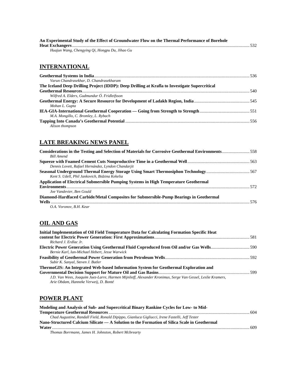| An Experimental Study of the Effect of Groundwater Flow on the Thermal Performance of Borehole |  |
|------------------------------------------------------------------------------------------------|--|
|                                                                                                |  |
| Huajun Wang, Chengying Qi, Hongpu Du, Jihao Gu                                                 |  |

## **INTERNATIONAL**

| Varun Chandrasekhar, D. Chandrasekharam                                                        |  |
|------------------------------------------------------------------------------------------------|--|
| The Iceland Deep Drilling Project (IDDP): Deep Drilling at Krafla to Investigate Supercritical |  |
|                                                                                                |  |
| Wilfred A. Elders, Gudmundur Ó. Fridleifsson                                                   |  |
|                                                                                                |  |
| Mohan L. Gupta                                                                                 |  |
|                                                                                                |  |
| M.A. Mongillo, C. Bromley, L. Rybach                                                           |  |
|                                                                                                |  |
| Alison thompson                                                                                |  |

#### **LATE BREAKING NEWS PANEL**

| Considerations in the Testing and Selection of Materials for Corrosive Geothermal Environments558 |  |
|---------------------------------------------------------------------------------------------------|--|
| <b>Bill Amend</b>                                                                                 |  |
|                                                                                                   |  |
| Dennis Lovett, Rafael Hernández, Lyndon Chandarjit                                                |  |
| Kent S. Udell, Phil Jankovich, Bidzina Kekelia                                                    |  |
| Application of Electrical Submersible Pumping Systems in High Temperature Geothermal              |  |
|                                                                                                   |  |
| Joe Vandevier, Ben Gould                                                                          |  |
| Diamond-Hardfaced Carbide/Metal Composites for Submersible-Pump Bearings in Geothermal            |  |
|                                                                                                   |  |
| O.A. Voronov. B.H. Kear                                                                           |  |

## **OIL AND GAS**

| Initial Implementation of Oil Field Temperature Data for Calculating Formation Specific Heat               |  |
|------------------------------------------------------------------------------------------------------------|--|
|                                                                                                            |  |
| Richard J. Erdlac Jr.                                                                                      |  |
|                                                                                                            |  |
| Bernie Karl, Ian-Michael Hebert, Jesse Warwick                                                             |  |
|                                                                                                            |  |
| Subir K. Sanyal, Steven J. Butler                                                                          |  |
| ThermoGIS: An Integrated Web-based Information System for Geothermal Exploration and                       |  |
|                                                                                                            |  |
| J.D. Van Wees, Joaquim Juez-Larre, Harmen Mijnlieff, Alexander Kronimus, Serge Van Gessel, Leslie Kramers, |  |
| Arie Obdam, Hanneke Verweij, D. Bonté                                                                      |  |

## **POWER PLANT**

| Modeling and Analysis of Sub- and Supercritical Binary Rankine Cycles for Low- to Mid-         |  |
|------------------------------------------------------------------------------------------------|--|
|                                                                                                |  |
| Chad Augustine, Randall Field, Ronald Dipippo, Gianluca Gigliucci, Irene Fastelli, Jeff Tester |  |
| Nano-Structured Calcium Silicate — A Solution to the Formation of Silica Scale in Geothermal   |  |
|                                                                                                |  |
| Thomas Borrmann, James H. Johnston, Robert Mcbrearty                                           |  |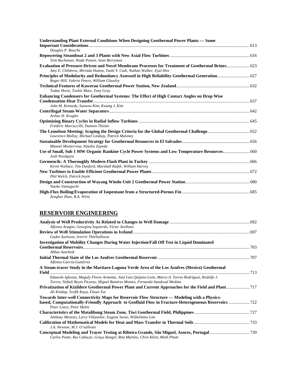| Understanding Plant External Conditions When Designing Geothermal Power Plants — Some                                                                                         |  |
|-------------------------------------------------------------------------------------------------------------------------------------------------------------------------------|--|
| Douglas P. Bouche                                                                                                                                                             |  |
| Tom Buchanan, Wade Posten, Sean Berryman                                                                                                                                      |  |
| Evaluation of Pressure-Driven and Novel Membrane Processes for Treatment of Geothermal Brines 623<br>Amy E. Childress, Mirinda Hutton, Tzahi Y. Cath, Nathan Walker, Eyal Hen |  |
| Principles of Modularity and Redundancy Assessed in High Reliability Geothermal Generation 627<br>Roger Hill, Valerie Peters, William Glassley                                |  |
| Tadao Horie, Toshie Muto, Tony Gray                                                                                                                                           |  |
| Enhancing Condensers for Geothermal Systems: The Effect of High Contact Angles on Drop Wise                                                                                   |  |
| John M. Kennedy, Sunwoo Kim, Kwang J. Kim                                                                                                                                     |  |
| Arthur H. Krugler                                                                                                                                                             |  |
| Frédéric Marcuccilli, Damien Thiolet                                                                                                                                          |  |
| Lawrence Molloy, Michael Lindsay, Patrick Maloney                                                                                                                             |  |
| Manuel Monterrosa, Natalia Zepeda                                                                                                                                             |  |
| Use of Small, Sub 1 MW Organic Rankine Cycle Power Systems and Low Temperature Resources 660<br>Josh Nordquist                                                                |  |
| Kevin Wallace, Tim Dunford, Marshall Ralph, William Harvey                                                                                                                    |  |
| Phil Welch, Patrick boyle                                                                                                                                                     |  |
| Naoko Yamaguchi                                                                                                                                                               |  |
| Zenghui Zhao, R.A. Wirtz                                                                                                                                                      |  |

## **RESERVOIR ENGINEERING**

| Alfonso Aragón, Georgina Izquierdo, Víctor Arellano                                                                                                                                                 |  |
|-----------------------------------------------------------------------------------------------------------------------------------------------------------------------------------------------------|--|
| Gudni Axelsson, Sverrir Thórhallsson                                                                                                                                                                |  |
| Investigation of Mobility Changes During Water Injection/Fall Off Test in Liquid Dominated                                                                                                          |  |
| Abbas Azarkish                                                                                                                                                                                      |  |
| Alfonso García-Gutiérrez                                                                                                                                                                            |  |
| A Steam-tracer Study in the Maritaro-Laguna Verde Area of the Los Azufres (Mexico) Geothermal                                                                                                       |  |
| Eduardo Iglesias, Magaly Flores Armenta, José Luis Quijano León, Marco A. Torres Rodríguez, Rodolfo J.<br>Torres, Neftalí Reyes Picasso, Miguel Ramírez Montes, Fernando Sandoval Medina            |  |
| Ali Kindap, Tevfik Kaya, Füsun Tut                                                                                                                                                                  |  |
| Towards Inter-well Connectivity Maps for Reservoir Flow Structure — Modeling with a Physics-<br>based, Computationally-Friendly Approach to Geofluid Flow in Fracture-Heterogeneous Reservoirs  722 |  |
| Peter Leary, Peter Malin                                                                                                                                                                            |  |
| Anthony Menzies, Larry Villaseñor, Eugene Sunio, Wilhelmino Lim<br>J.A. Newson, M.J. O'sullivan                                                                                                     |  |
| Carlos Ponte, Rui Cabeças, Graça Rangel, Rita Martins, Chris Klein, Minh Pham                                                                                                                       |  |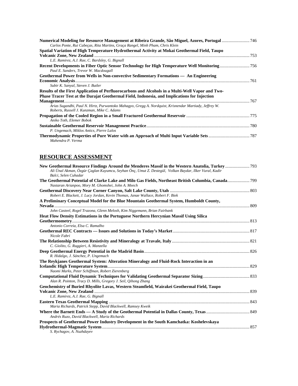| Carlos Ponte, Rui Cabeças, Rita Martins, Graça Rangel, Minh Pham, Chris Klein                          |  |
|--------------------------------------------------------------------------------------------------------|--|
| Spatial Variation of High Temperature Hydrothermal Activity at Mokai Geothermal Field, Taupo           |  |
|                                                                                                        |  |
| L.E. Ramirez, A.J. Rae, C. Bardsley, G. Bignall                                                        |  |
| Paul E. Sanders, Trevor W. Macdougall                                                                  |  |
|                                                                                                        |  |
| Geothermal Power from Wells in Non-convective Sedimentary Formations — An Engineering                  |  |
|                                                                                                        |  |
| Subir K. Sanyal, Steven J. Butler                                                                      |  |
| Results of the First Application of Perfluorocarbons and Alcohols in a Multi-Well Vapor and Two-       |  |
| Phase Tracer Test at the Darajat Geothermal Field, Indonesia, and Implications for Injection           |  |
|                                                                                                        |  |
| Arias Sugandhi, Paul N. Hirtz, Purwantoko Mahagyo, Gregg A. Nordquist, Krisnendar Martiady, Jeffrey W. |  |
| Roberts, Russell J. Kunzman, Mike C. Adams                                                             |  |
|                                                                                                        |  |
| Aniko Toth, Elemer Bobok                                                                               |  |
|                                                                                                        |  |
| P. Ungemach, Miklos Antics, Pierre Lalos                                                               |  |
|                                                                                                        |  |
| Mahendra P. Verma                                                                                      |  |

#### **RESOURCE ASSESSMENT**

| Ali Ünal Akman, Özgür Çaglan Kuyumcu, Seyhan Önç, Umut Z. Destegül, Volkan Baydar, Ilker Vural, Kadir<br>Balci, Selen Cuhadar |  |
|-------------------------------------------------------------------------------------------------------------------------------|--|
|                                                                                                                               |  |
| Nastaran Arianpoo, Mory M. Ghomshei, John A. Meech                                                                            |  |
| Robert E. Blackett, J. Lucy Jordan, Kevin Thomas, Janae Wallace, Robert F. Biek                                               |  |
| A Preliminary Conceptual Model for the Blue Mountain Geothermal System, Humboldt County,                                      |  |
| John Casteel, Rogel Trazona, Glenn Melosh, Kim Niggemann, Brian Fairbank                                                      |  |
| <b>Heat Flow Density Estimations in the Portuguese Northern Hercynian Massif Using Silica</b>                                 |  |
|                                                                                                                               |  |
| Antonio Correia, Elsa C. Ramalho                                                                                              |  |
| Nicole Fabri                                                                                                                  |  |
|                                                                                                                               |  |
| C. Giolito, G. Ruggieri, A. Manzella                                                                                          |  |
| R. Hidalgo, J. Sánchez, P. Ungemach                                                                                           |  |
| The Reykjanes Geothermal System: Alteration Mineralogy and Fluid-Rock Interaction in an                                       |  |
|                                                                                                                               |  |
| Naomi Marks, Peter Schiffman, Robert Zierenberg                                                                               |  |
| Alan R. Pointon, Tracy D. Mills, Gregory J. Seil, Qihong Zhang                                                                |  |
| Geochemistry of Buried Rhyolite Lavas, Western Steamfield, Wairakei Geothermal Field, Taupo                                   |  |
|                                                                                                                               |  |
| L.E. Ramirez, A.J. Rae, G. Bignall                                                                                            |  |
|                                                                                                                               |  |
| Maria Richards, Patrick Stepp, David Blackwell, Ramsey Kweik                                                                  |  |
| Andrés Ruzo, David Blackwell, Maria Richards                                                                                  |  |
| Prospects of Geothermal Power Industry Development in the South Kamchatka: Koshelevskaya                                      |  |
| S. Rychagov, A. Nuzhdayev                                                                                                     |  |